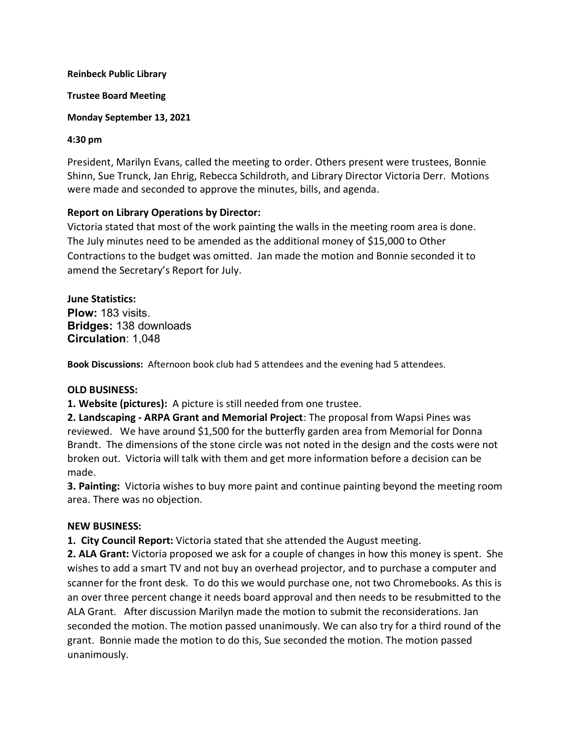#### Reinbeck Public Library

#### Trustee Board Meeting

### Monday September 13, 2021

### 4:30 pm

President, Marilyn Evans, called the meeting to order. Others present were trustees, Bonnie Shinn, Sue Trunck, Jan Ehrig, Rebecca Schildroth, and Library Director Victoria Derr. Motions were made and seconded to approve the minutes, bills, and agenda.

# Report on Library Operations by Director:

Victoria stated that most of the work painting the walls in the meeting room area is done. The July minutes need to be amended as the additional money of \$15,000 to Other Contractions to the budget was omitted. Jan made the motion and Bonnie seconded it to amend the Secretary's Report for July.

June Statistics: Plow: 183 visits. Bridges: 138 downloads Circulation: 1,048

Book Discussions: Afternoon book club had 5 attendees and the evening had 5 attendees.

## OLD BUSINESS:

**1. Website (pictures):** A picture is still needed from one trustee.

2. Landscaping - ARPA Grant and Memorial Project: The proposal from Wapsi Pines was reviewed. We have around \$1,500 for the butterfly garden area from Memorial for Donna Brandt. The dimensions of the stone circle was not noted in the design and the costs were not broken out. Victoria will talk with them and get more information before a decision can be made.

**3. Painting:** Victoria wishes to buy more paint and continue painting beyond the meeting room area. There was no objection.

## NEW BUSINESS:

1. City Council Report: Victoria stated that she attended the August meeting.

2. ALA Grant: Victoria proposed we ask for a couple of changes in how this money is spent. She wishes to add a smart TV and not buy an overhead projector, and to purchase a computer and scanner for the front desk. To do this we would purchase one, not two Chromebooks. As this is an over three percent change it needs board approval and then needs to be resubmitted to the ALA Grant. After discussion Marilyn made the motion to submit the reconsiderations. Jan seconded the motion. The motion passed unanimously. We can also try for a third round of the grant. Bonnie made the motion to do this, Sue seconded the motion. The motion passed unanimously.